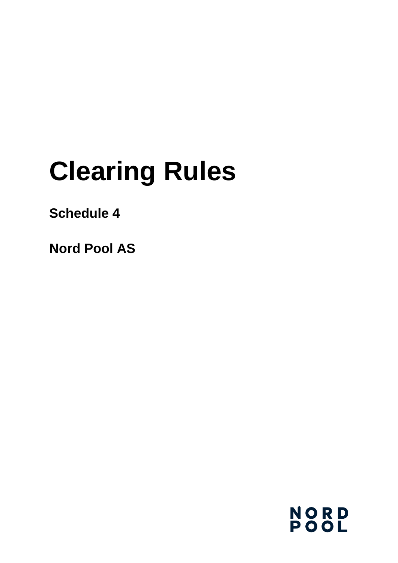# **Clearing Rules**

# **Schedule 4**

**Nord Pool AS**

**NORD<br>POOL**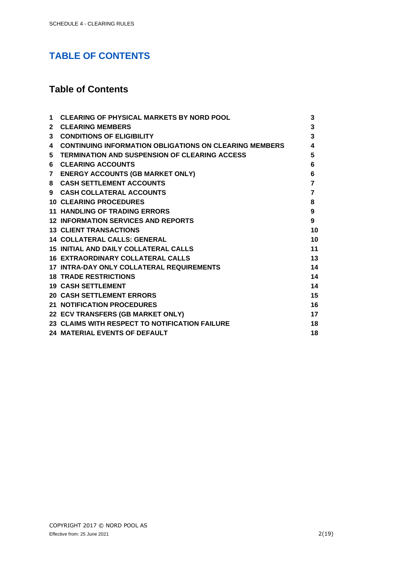## **TABLE OF CONTENTS**

### **Table of Contents**

| 1            | <b>CLEARING OF PHYSICAL MARKETS BY NORD POOL</b>              | 3              |
|--------------|---------------------------------------------------------------|----------------|
| $\mathbf{2}$ | <b>CLEARING MEMBERS</b>                                       | 3              |
| 3            | <b>CONDITIONS OF ELIGIBILITY</b>                              | 3              |
| 4            | <b>CONTINUING INFORMATION OBLIGATIONS ON CLEARING MEMBERS</b> | 4              |
|              | 5 TERMINATION AND SUSPENSION OF CLEARING ACCESS               | 5              |
|              | <b>6 CLEARING ACCOUNTS</b>                                    | 6              |
|              | 7 ENERGY ACCOUNTS (GB MARKET ONLY)                            | 6              |
| 8            | <b>CASH SETTLEMENT ACCOUNTS</b>                               | $\overline{7}$ |
|              | 9 CASH COLLATERAL ACCOUNTS                                    | $\overline{7}$ |
|              | <b>10 CLEARING PROCEDURES</b>                                 | 8              |
|              | <b>11 HANDLING OF TRADING ERRORS</b>                          | 9              |
|              | <b>12 INFORMATION SERVICES AND REPORTS</b>                    | 9              |
|              | <b>13 CLIENT TRANSACTIONS</b>                                 | 10             |
|              | <b>14 COLLATERAL CALLS: GENERAL</b>                           | 10             |
|              | <b>15 INITIAL AND DAILY COLLATERAL CALLS</b>                  | 11             |
|              | <b>16 EXTRAORDINARY COLLATERAL CALLS</b>                      | 13             |
|              | <b>17 INTRA-DAY ONLY COLLATERAL REQUIREMENTS</b>              | 14             |
|              | <b>18 TRADE RESTRICTIONS</b>                                  | 14             |
|              | <b>19 CASH SETTLEMENT</b>                                     | 14             |
|              | <b>20 CASH SETTLEMENT ERRORS</b>                              | 15             |
|              | <b>21 NOTIFICATION PROCEDURES</b>                             | 16             |
|              | 22 ECV TRANSFERS (GB MARKET ONLY)                             | 17             |
|              | 23 CLAIMS WITH RESPECT TO NOTIFICATION FAILURE                | 18             |
|              | <b>24 MATERIAL EVENTS OF DEFAULT</b>                          | 18             |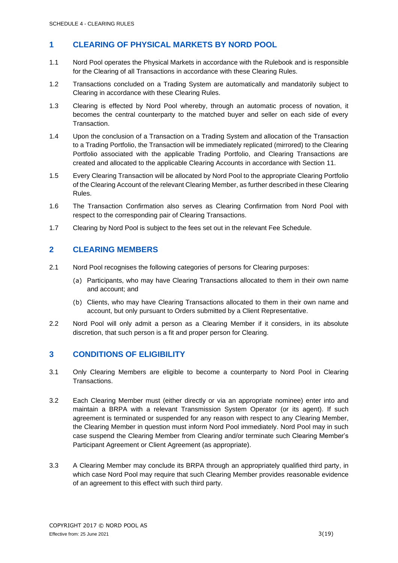#### <span id="page-2-0"></span>**1 CLEARING OF PHYSICAL MARKETS BY NORD POOL**

- 1.1 Nord Pool operates the Physical Markets in accordance with the Rulebook and is responsible for the Clearing of all Transactions in accordance with these Clearing Rules.
- 1.2 Transactions concluded on a Trading System are automatically and mandatorily subject to Clearing in accordance with these Clearing Rules.
- 1.3 Clearing is effected by Nord Pool whereby, through an automatic process of novation, it becomes the central counterparty to the matched buyer and seller on each side of every Transaction.
- 1.4 Upon the conclusion of a Transaction on a Trading System and allocation of the Transaction to a Trading Portfolio, the Transaction will be immediately replicated (mirrored) to the Clearing Portfolio associated with the applicable Trading Portfolio, and Clearing Transactions are created and allocated to the applicable Clearing Accounts in accordance with Section 11.
- 1.5 Every Clearing Transaction will be allocated by Nord Pool to the appropriate Clearing Portfolio of the Clearing Account of the relevant Clearing Member, as further described in these Clearing Rules.
- 1.6 The Transaction Confirmation also serves as Clearing Confirmation from Nord Pool with respect to the corresponding pair of Clearing Transactions.
- 1.7 Clearing by Nord Pool is subject to the fees set out in the relevant Fee Schedule.

#### <span id="page-2-1"></span>**2 CLEARING MEMBERS**

- 2.1 Nord Pool recognises the following categories of persons for Clearing purposes:
	- (a) Participants, who may have Clearing Transactions allocated to them in their own name and account; and
	- (b) Clients, who may have Clearing Transactions allocated to them in their own name and account, but only pursuant to Orders submitted by a Client Representative.
- 2.2 Nord Pool will only admit a person as a Clearing Member if it considers, in its absolute discretion, that such person is a fit and proper person for Clearing.

#### <span id="page-2-2"></span>**3 CONDITIONS OF ELIGIBILITY**

- 3.1 Only Clearing Members are eligible to become a counterparty to Nord Pool in Clearing Transactions.
- 3.2 Each Clearing Member must (either directly or via an appropriate nominee) enter into and maintain a BRPA with a relevant Transmission System Operator (or its agent). If such agreement is terminated or suspended for any reason with respect to any Clearing Member, the Clearing Member in question must inform Nord Pool immediately. Nord Pool may in such case suspend the Clearing Member from Clearing and/or terminate such Clearing Member's Participant Agreement or Client Agreement (as appropriate).
- 3.3 A Clearing Member may conclude its BRPA through an appropriately qualified third party, in which case Nord Pool may require that such Clearing Member provides reasonable evidence of an agreement to this effect with such third party.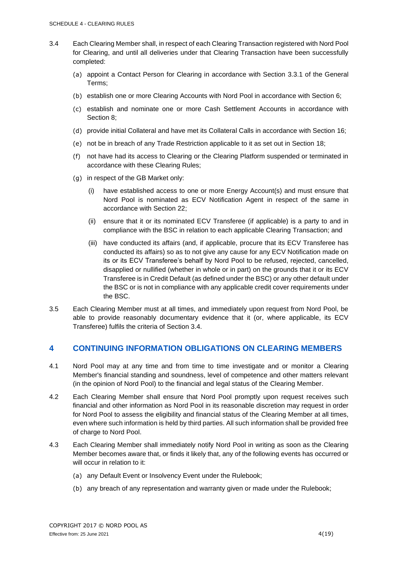- 3.4 Each Clearing Member shall, in respect of each Clearing Transaction registered with Nord Pool for Clearing, and until all deliveries under that Clearing Transaction have been successfully completed:
	- (a) appoint a Contact Person for Clearing in accordance with Section 3.3.1 of the General Terms;
	- (b) establish one or more Clearing Accounts with Nord Pool in accordance with Section 6;
	- (c) establish and nominate one or more Cash Settlement Accounts in accordance with Section 8;
	- (d) provide initial Collateral and have met its Collateral Calls in accordance with Section 16;
	- (e) not be in breach of any Trade Restriction applicable to it as set out in Section 18;
	- (f) not have had its access to Clearing or the Clearing Platform suspended or terminated in accordance with these Clearing Rules;
	- (g) in respect of the GB Market only:
		- (i) have established access to one or more Energy Account(s) and must ensure that Nord Pool is nominated as ECV Notification Agent in respect of the same in accordance with Section 22;
		- (ii) ensure that it or its nominated ECV Transferee (if applicable) is a party to and in compliance with the BSC in relation to each applicable Clearing Transaction; and
		- (iii) have conducted its affairs (and, if applicable, procure that its ECV Transferee has conducted its affairs) so as to not give any cause for any ECV Notification made on its or its ECV Transferee's behalf by Nord Pool to be refused, rejected, cancelled, disapplied or nullified (whether in whole or in part) on the grounds that it or its ECV Transferee is in Credit Default (as defined under the BSC) or any other default under the BSC or is not in compliance with any applicable credit cover requirements under the BSC.
- 3.5 Each Clearing Member must at all times, and immediately upon request from Nord Pool, be able to provide reasonably documentary evidence that it (or, where applicable, its ECV Transferee) fulfils the criteria of Section 3.4.

#### <span id="page-3-0"></span>**4 CONTINUING INFORMATION OBLIGATIONS ON CLEARING MEMBERS**

- 4.1 Nord Pool may at any time and from time to time investigate and or monitor a Clearing Member's financial standing and soundness, level of competence and other matters relevant (in the opinion of Nord Pool) to the financial and legal status of the Clearing Member.
- 4.2 Each Clearing Member shall ensure that Nord Pool promptly upon request receives such financial and other information as Nord Pool in its reasonable discretion may request in order for Nord Pool to assess the eligibility and financial status of the Clearing Member at all times, even where such information is held by third parties. All such information shall be provided free of charge to Nord Pool.
- 4.3 Each Clearing Member shall immediately notify Nord Pool in writing as soon as the Clearing Member becomes aware that, or finds it likely that, any of the following events has occurred or will occur in relation to it:
	- (a) any Default Event or Insolvency Event under the Rulebook;
	- (b) any breach of any representation and warranty given or made under the Rulebook;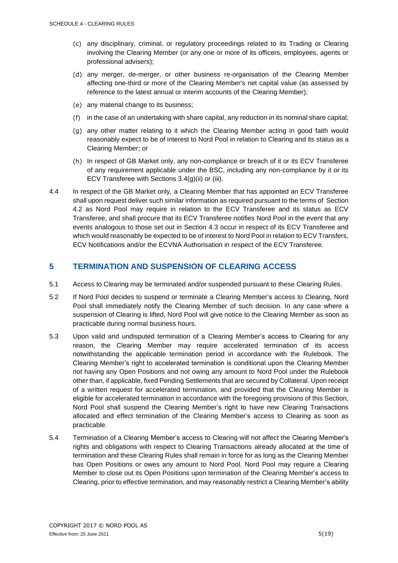- (c) any disciplinary, criminal, or regulatory proceedings related to its Trading or Clearing involving the Clearing Member (or any one or more of its officers, employees, agents or professional advisers);
- (d) any merger, de-merger, or other business re-organisation of the Clearing Member affecting one-third or more of the Clearing Member's net capital value (as assessed by reference to the latest annual or interim accounts of the Clearing Member);
- (e) any material change to its business;
- (f) in the case of an undertaking with share capital, any reduction in its nominal share capital;
- (g) any other matter relating to it which the Clearing Member acting in good faith would reasonably expect to be of interest to Nord Pool in relation to Clearing and its status as a Clearing Member; or
- (h) In respect of GB Market only, any non-compliance or breach of it or its ECV Transferee of any requirement applicable under the BSC, including any non-compliance by it or its ECV Transferee with Sections 3.4(g)(ii) or (iii).
- 4.4 In respect of the GB Market only, a Clearing Member that has appointed an ECV Transferee shall upon request deliver such similar information as required pursuant to the terms of Section 4.2 as Nord Pool may require in relation to the ECV Transferee and its status as ECV Transferee, and shall procure that its ECV Transferee notifies Nord Pool in the event that any events analogous to those set out in Section 4.3 occur in respect of its ECV Transferee and which would reasonably be expected to be of interest to Nord Pool in relation to ECV Transfers, ECV Notifications and/or the ECVNA Authorisation in respect of the ECV Transferee.

#### <span id="page-4-0"></span>**5 TERMINATION AND SUSPENSION OF CLEARING ACCESS**

- 5.1 Access to Clearing may be terminated and/or suspended pursuant to these Clearing Rules.
- 5.2 If Nord Pool decides to suspend or terminate a Clearing Member's access to Clearing, Nord Pool shall immediately notify the Clearing Member of such decision. In any case where a suspension of Clearing is lifted, Nord Pool will give notice to the Clearing Member as soon as practicable during normal business hours.
- 5.3 Upon valid and undisputed termination of a Clearing Member's access to Clearing for any reason, the Clearing Member may require accelerated termination of its access notwithstanding the applicable termination period in accordance with the Rulebook. The Clearing Member's right to accelerated termination is conditional upon the Clearing Member not having any Open Positions and not owing any amount to Nord Pool under the Rulebook other than, if applicable, fixed Pending Settlements that are secured by Collateral. Upon receipt of a written request for accelerated termination, and provided that the Clearing Member is eligible for accelerated termination in accordance with the foregoing provisions of this Section, Nord Pool shall suspend the Clearing Member's right to have new Clearing Transactions allocated and effect termination of the Clearing Member's access to Clearing as soon as practicable.
- 5.4 Termination of a Clearing Member's access to Clearing will not affect the Clearing Member's rights and obligations with respect to Clearing Transactions already allocated at the time of termination and these Clearing Rules shall remain in force for as long as the Clearing Member has Open Positions or owes any amount to Nord Pool. Nord Pool may require a Clearing Member to close out its Open Positions upon termination of the Clearing Member's access to Clearing, prior to effective termination, and may reasonably restrict a Clearing Member's ability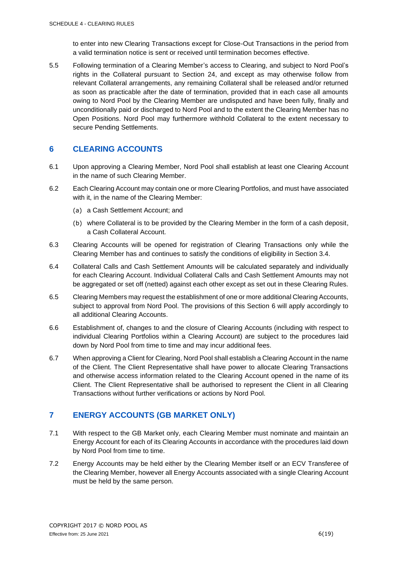to enter into new Clearing Transactions except for Close-Out Transactions in the period from a valid termination notice is sent or received until termination becomes effective.

5.5 Following termination of a Clearing Member's access to Clearing, and subject to Nord Pool's rights in the Collateral pursuant to Section 24, and except as may otherwise follow from relevant Collateral arrangements, any remaining Collateral shall be released and/or returned as soon as practicable after the date of termination, provided that in each case all amounts owing to Nord Pool by the Clearing Member are undisputed and have been fully, finally and unconditionally paid or discharged to Nord Pool and to the extent the Clearing Member has no Open Positions. Nord Pool may furthermore withhold Collateral to the extent necessary to secure Pending Settlements.

#### <span id="page-5-0"></span>**6 CLEARING ACCOUNTS**

- 6.1 Upon approving a Clearing Member, Nord Pool shall establish at least one Clearing Account in the name of such Clearing Member.
- 6.2 Each Clearing Account may contain one or more Clearing Portfolios, and must have associated with it, in the name of the Clearing Member:
	- (a) a Cash Settlement Account; and
	- (b) where Collateral is to be provided by the Clearing Member in the form of a cash deposit, a Cash Collateral Account.
- 6.3 Clearing Accounts will be opened for registration of Clearing Transactions only while the Clearing Member has and continues to satisfy the conditions of eligibility in Section 3.4.
- 6.4 Collateral Calls and Cash Settlement Amounts will be calculated separately and individually for each Clearing Account. Individual Collateral Calls and Cash Settlement Amounts may not be aggregated or set off (netted) against each other except as set out in these Clearing Rules.
- 6.5 Clearing Members may request the establishment of one or more additional Clearing Accounts, subject to approval from Nord Pool. The provisions of this Section 6 will apply accordingly to all additional Clearing Accounts.
- 6.6 Establishment of, changes to and the closure of Clearing Accounts (including with respect to individual Clearing Portfolios within a Clearing Account) are subject to the procedures laid down by Nord Pool from time to time and may incur additional fees.
- 6.7 When approving a Client for Clearing, Nord Pool shall establish a Clearing Account in the name of the Client. The Client Representative shall have power to allocate Clearing Transactions and otherwise access information related to the Clearing Account opened in the name of its Client. The Client Representative shall be authorised to represent the Client in all Clearing Transactions without further verifications or actions by Nord Pool.

#### <span id="page-5-1"></span>**7 ENERGY ACCOUNTS (GB MARKET ONLY)**

- 7.1 With respect to the GB Market only, each Clearing Member must nominate and maintain an Energy Account for each of its Clearing Accounts in accordance with the procedures laid down by Nord Pool from time to time.
- 7.2 Energy Accounts may be held either by the Clearing Member itself or an ECV Transferee of the Clearing Member, however all Energy Accounts associated with a single Clearing Account must be held by the same person.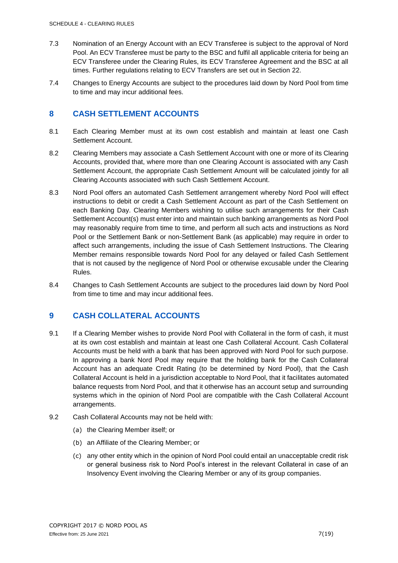- 7.3 Nomination of an Energy Account with an ECV Transferee is subject to the approval of Nord Pool. An ECV Transferee must be party to the BSC and fulfil all applicable criteria for being an ECV Transferee under the Clearing Rules, its ECV Transferee Agreement and the BSC at all times. Further regulations relating to ECV Transfers are set out in Section 22.
- 7.4 Changes to Energy Accounts are subject to the procedures laid down by Nord Pool from time to time and may incur additional fees.

#### <span id="page-6-0"></span>**8 CASH SETTLEMENT ACCOUNTS**

- 8.1 Each Clearing Member must at its own cost establish and maintain at least one Cash Settlement Account.
- 8.2 Clearing Members may associate a Cash Settlement Account with one or more of its Clearing Accounts, provided that, where more than one Clearing Account is associated with any Cash Settlement Account, the appropriate Cash Settlement Amount will be calculated jointly for all Clearing Accounts associated with such Cash Settlement Account.
- 8.3 Nord Pool offers an automated Cash Settlement arrangement whereby Nord Pool will effect instructions to debit or credit a Cash Settlement Account as part of the Cash Settlement on each Banking Day. Clearing Members wishing to utilise such arrangements for their Cash Settlement Account(s) must enter into and maintain such banking arrangements as Nord Pool may reasonably require from time to time, and perform all such acts and instructions as Nord Pool or the Settlement Bank or non-Settlement Bank (as applicable) may require in order to affect such arrangements, including the issue of Cash Settlement Instructions. The Clearing Member remains responsible towards Nord Pool for any delayed or failed Cash Settlement that is not caused by the negligence of Nord Pool or otherwise excusable under the Clearing Rules.
- 8.4 Changes to Cash Settlement Accounts are subject to the procedures laid down by Nord Pool from time to time and may incur additional fees.

#### <span id="page-6-1"></span>**9 CASH COLLATERAL ACCOUNTS**

- 9.1 If a Clearing Member wishes to provide Nord Pool with Collateral in the form of cash, it must at its own cost establish and maintain at least one Cash Collateral Account. Cash Collateral Accounts must be held with a bank that has been approved with Nord Pool for such purpose. In approving a bank Nord Pool may require that the holding bank for the Cash Collateral Account has an adequate Credit Rating (to be determined by Nord Pool), that the Cash Collateral Account is held in a jurisdiction acceptable to Nord Pool, that it facilitates automated balance requests from Nord Pool, and that it otherwise has an account setup and surrounding systems which in the opinion of Nord Pool are compatible with the Cash Collateral Account arrangements.
- 9.2 Cash Collateral Accounts may not be held with:
	- (a) the Clearing Member itself; or
	- (b) an Affiliate of the Clearing Member; or
	- (c) any other entity which in the opinion of Nord Pool could entail an unacceptable credit risk or general business risk to Nord Pool's interest in the relevant Collateral in case of an Insolvency Event involving the Clearing Member or any of its group companies.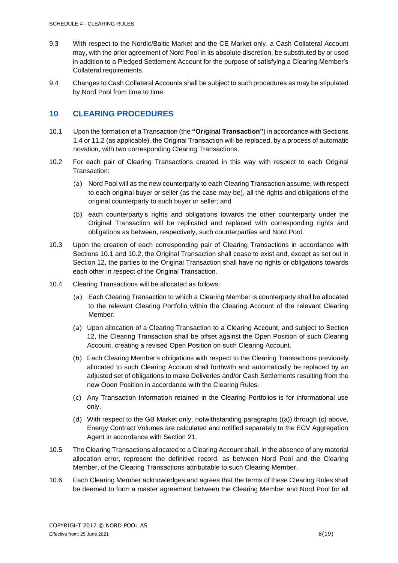- 9.3 With respect to the Nordic/Baltic Market and the CE Market only, a Cash Collateral Account may, with the prior agreement of Nord Pool in its absolute discretion, be substituted by or used in addition to a Pledged Settlement Account for the purpose of satisfying a Clearing Member's Collateral requirements.
- 9.4 Changes to Cash Collateral Accounts shall be subject to such procedures as may be stipulated by Nord Pool from time to time.

#### <span id="page-7-0"></span>**10 CLEARING PROCEDURES**

- 10.1 Upon the formation of a Transaction (the **"Original Transaction"**) in accordance with Sections 1.4 or 11.2 (as applicable), the Original Transaction will be replaced, by a process of automatic novation, with two corresponding Clearing Transactions.
- 10.2 For each pair of Clearing Transactions created in this way with respect to each Original Transaction:
	- (a) Nord Pool will as the new counterparty to each Clearing Transaction assume, with respect to each original buyer or seller (as the case may be), all the rights and obligations of the original counterparty to such buyer or seller; and
	- (b) each counterparty's rights and obligations towards the other counterparty under the Original Transaction will be replicated and replaced with corresponding rights and obligations as between, respectively, such counterparties and Nord Pool.
- 10.3 Upon the creation of each corresponding pair of Clearing Transactions in accordance with Sections 10.1 and 10.2, the Original Transaction shall cease to exist and, except as set out in Section 12, the parties to the Original Transaction shall have no rights or obligations towards each other in respect of the Original Transaction.
- <span id="page-7-1"></span>10.4 Clearing Transactions will be allocated as follows:
	- (a) Each Clearing Transaction to which a Clearing Member is counterparty shall be allocated to the relevant Clearing Portfolio within the Clearing Account of the relevant Clearing Member.
	- (a) Upon allocation of a Clearing Transaction to a Clearing Account, and subject to Section 12, the Clearing Transaction shall be offset against the Open Position of such Clearing Account, creating a revised Open Position on such Clearing Account.
	- (b) Each Clearing Member's obligations with respect to the Clearing Transactions previously allocated to such Clearing Account shall forthwith and automatically be replaced by an adjusted set of obligations to make Deliveries and/or Cash Settlements resulting from the new Open Position in accordance with the Clearing Rules.
	- (c) Any Transaction Information retained in the Clearing Portfolios is for informational use only.
	- (d) With respect to the GB Market only, notwithstanding paragraphs [\(\(a\)\)](#page-7-1) through (c) above, Energy Contract Volumes are calculated and notified separately to the ECV Aggregation Agent in accordance with Section 21.
- 10.5 The Clearing Transactions allocated to a Clearing Account shall, in the absence of any material allocation error, represent the definitive record, as between Nord Pool and the Clearing Member, of the Clearing Transactions attributable to such Clearing Member.
- 10.6 Each Clearing Member acknowledges and agrees that the terms of these Clearing Rules shall be deemed to form a master agreement between the Clearing Member and Nord Pool for all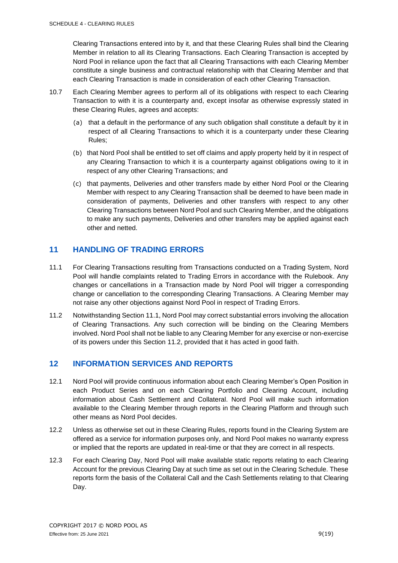Clearing Transactions entered into by it, and that these Clearing Rules shall bind the Clearing Member in relation to all its Clearing Transactions. Each Clearing Transaction is accepted by Nord Pool in reliance upon the fact that all Clearing Transactions with each Clearing Member constitute a single business and contractual relationship with that Clearing Member and that each Clearing Transaction is made in consideration of each other Clearing Transaction.

- 10.7 Each Clearing Member agrees to perform all of its obligations with respect to each Clearing Transaction to with it is a counterparty and, except insofar as otherwise expressly stated in these Clearing Rules, agrees and accepts:
	- (a) that a default in the performance of any such obligation shall constitute a default by it in respect of all Clearing Transactions to which it is a counterparty under these Clearing Rules;
	- (b) that Nord Pool shall be entitled to set off claims and apply property held by it in respect of any Clearing Transaction to which it is a counterparty against obligations owing to it in respect of any other Clearing Transactions; and
	- (c) that payments, Deliveries and other transfers made by either Nord Pool or the Clearing Member with respect to any Clearing Transaction shall be deemed to have been made in consideration of payments, Deliveries and other transfers with respect to any other Clearing Transactions between Nord Pool and such Clearing Member, and the obligations to make any such payments, Deliveries and other transfers may be applied against each other and netted.

#### <span id="page-8-0"></span>**11 HANDLING OF TRADING ERRORS**

- 11.1 For Clearing Transactions resulting from Transactions conducted on a Trading System, Nord Pool will handle complaints related to Trading Errors in accordance with the Rulebook. Any changes or cancellations in a Transaction made by Nord Pool will trigger a corresponding change or cancellation to the corresponding Clearing Transactions. A Clearing Member may not raise any other objections against Nord Pool in respect of Trading Errors.
- 11.2 Notwithstanding Section 11.1, Nord Pool may correct substantial errors involving the allocation of Clearing Transactions. Any such correction will be binding on the Clearing Members involved. Nord Pool shall not be liable to any Clearing Member for any exercise or non-exercise of its powers under this Section 11.2, provided that it has acted in good faith.

#### <span id="page-8-1"></span>**12 INFORMATION SERVICES AND REPORTS**

- 12.1 Nord Pool will provide continuous information about each Clearing Member's Open Position in each Product Series and on each Clearing Portfolio and Clearing Account, including information about Cash Settlement and Collateral. Nord Pool will make such information available to the Clearing Member through reports in the Clearing Platform and through such other means as Nord Pool decides.
- 12.2 Unless as otherwise set out in these Clearing Rules, reports found in the Clearing System are offered as a service for information purposes only, and Nord Pool makes no warranty express or implied that the reports are updated in real-time or that they are correct in all respects.
- 12.3 For each Clearing Day, Nord Pool will make available static reports relating to each Clearing Account for the previous Clearing Day at such time as set out in the Clearing Schedule. These reports form the basis of the Collateral Call and the Cash Settlements relating to that Clearing Day.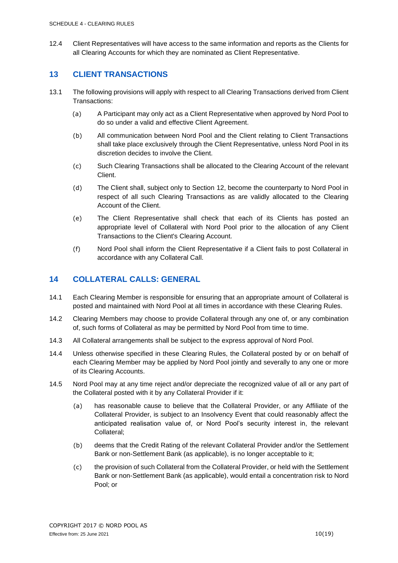12.4 Client Representatives will have access to the same information and reports as the Clients for all Clearing Accounts for which they are nominated as Client Representative.

#### <span id="page-9-0"></span>**13 CLIENT TRANSACTIONS**

- 13.1 The following provisions will apply with respect to all Clearing Transactions derived from Client Transactions:
	- (a) A Participant may only act as a Client Representative when approved by Nord Pool to do so under a valid and effective Client Agreement.
	- (b) All communication between Nord Pool and the Client relating to Client Transactions shall take place exclusively through the Client Representative, unless Nord Pool in its discretion decides to involve the Client.
	- (c) Such Clearing Transactions shall be allocated to the Clearing Account of the relevant Client.
	- (d) The Client shall, subject only to Section 12, become the counterparty to Nord Pool in respect of all such Clearing Transactions as are validly allocated to the Clearing Account of the Client.
	- (e) The Client Representative shall check that each of its Clients has posted an appropriate level of Collateral with Nord Pool prior to the allocation of any Client Transactions to the Client's Clearing Account.
	- (f) Nord Pool shall inform the Client Representative if a Client fails to post Collateral in accordance with any Collateral Call.

#### <span id="page-9-1"></span>**14 COLLATERAL CALLS: GENERAL**

- 14.1 Each Clearing Member is responsible for ensuring that an appropriate amount of Collateral is posted and maintained with Nord Pool at all times in accordance with these Clearing Rules.
- 14.2 Clearing Members may choose to provide Collateral through any one of, or any combination of, such forms of Collateral as may be permitted by Nord Pool from time to time.
- 14.3 All Collateral arrangements shall be subject to the express approval of Nord Pool.
- 14.4 Unless otherwise specified in these Clearing Rules, the Collateral posted by or on behalf of each Clearing Member may be applied by Nord Pool jointly and severally to any one or more of its Clearing Accounts.
- 14.5 Nord Pool may at any time reject and/or depreciate the recognized value of all or any part of the Collateral posted with it by any Collateral Provider if it:
	- (a) has reasonable cause to believe that the Collateral Provider, or any Affiliate of the Collateral Provider, is subject to an Insolvency Event that could reasonably affect the anticipated realisation value of, or Nord Pool's security interest in, the relevant Collateral;
	- (b) deems that the Credit Rating of the relevant Collateral Provider and/or the Settlement Bank or non-Settlement Bank (as applicable), is no longer acceptable to it;
	- (c) the provision of such Collateral from the Collateral Provider, or held with the Settlement Bank or non-Settlement Bank (as applicable), would entail a concentration risk to Nord Pool; or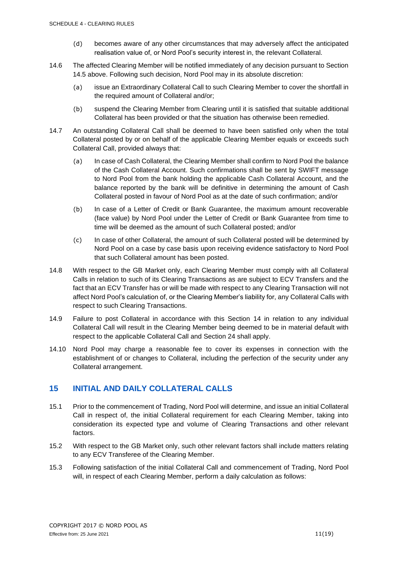- (d) becomes aware of any other circumstances that may adversely affect the anticipated realisation value of, or Nord Pool's security interest in, the relevant Collateral.
- 14.6 The affected Clearing Member will be notified immediately of any decision pursuant to Section 14.5 above. Following such decision, Nord Pool may in its absolute discretion:
	- (a) issue an Extraordinary Collateral Call to such Clearing Member to cover the shortfall in the required amount of Collateral and/or;
	- (b) suspend the Clearing Member from Clearing until it is satisfied that suitable additional Collateral has been provided or that the situation has otherwise been remedied.
- 14.7 An outstanding Collateral Call shall be deemed to have been satisfied only when the total Collateral posted by or on behalf of the applicable Clearing Member equals or exceeds such Collateral Call, provided always that:
	- (a) In case of Cash Collateral, the Clearing Member shall confirm to Nord Pool the balance of the Cash Collateral Account. Such confirmations shall be sent by SWIFT message to Nord Pool from the bank holding the applicable Cash Collateral Account, and the balance reported by the bank will be definitive in determining the amount of Cash Collateral posted in favour of Nord Pool as at the date of such confirmation; and/or
	- (b) In case of a Letter of Credit or Bank Guarantee, the maximum amount recoverable (face value) by Nord Pool under the Letter of Credit or Bank Guarantee from time to time will be deemed as the amount of such Collateral posted; and/or
	- (c) In case of other Collateral, the amount of such Collateral posted will be determined by Nord Pool on a case by case basis upon receiving evidence satisfactory to Nord Pool that such Collateral amount has been posted.
- 14.8 With respect to the GB Market only, each Clearing Member must comply with all Collateral Calls in relation to such of its Clearing Transactions as are subject to ECV Transfers and the fact that an ECV Transfer has or will be made with respect to any Clearing Transaction will not affect Nord Pool's calculation of, or the Clearing Member's liability for, any Collateral Calls with respect to such Clearing Transactions.
- 14.9 Failure to post Collateral in accordance with this Section 14 in relation to any individual Collateral Call will result in the Clearing Member being deemed to be in material default with respect to the applicable Collateral Call and Section 24 shall apply.
- 14.10 Nord Pool may charge a reasonable fee to cover its expenses in connection with the establishment of or changes to Collateral, including the perfection of the security under any Collateral arrangement.

#### <span id="page-10-0"></span>**15 INITIAL AND DAILY COLLATERAL CALLS**

- 15.1 Prior to the commencement of Trading, Nord Pool will determine, and issue an initial Collateral Call in respect of, the initial Collateral requirement for each Clearing Member, taking into consideration its expected type and volume of Clearing Transactions and other relevant factors.
- 15.2 With respect to the GB Market only, such other relevant factors shall include matters relating to any ECV Transferee of the Clearing Member.
- 15.3 Following satisfaction of the initial Collateral Call and commencement of Trading, Nord Pool will, in respect of each Clearing Member, perform a daily calculation as follows: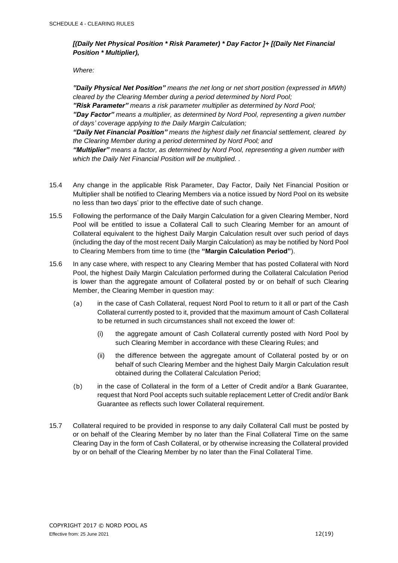#### *[(Daily Net Physical Position \* Risk Parameter) \* Day Factor ]+ [(Daily Net Financial Position \* Multiplier),*

*Where:*

*"Daily Physical Net Position" means the net long or net short position (expressed in MWh) cleared by the Clearing Member during a period determined by Nord Pool;*

*"Risk Parameter" means a risk parameter multiplier as determined by Nord Pool; "Day Factor" means a multiplier, as determined by Nord Pool, representing a given number of days' coverage applying to the Daily Margin Calculation;*

*"Daily Net Financial Position" means the highest daily net financial settlement, cleared by the Clearing Member during a period determined by Nord Pool; and*

*"Multiplier" means a factor, as determined by Nord Pool, representing a given number with which the Daily Net Financial Position will be multiplied. .*

- 15.4 Any change in the applicable Risk Parameter, Day Factor, Daily Net Financial Position or Multiplier shall be notified to Clearing Members via a notice issued by Nord Pool on its website no less than two days' prior to the effective date of such change.
- 15.5 Following the performance of the Daily Margin Calculation for a given Clearing Member, Nord Pool will be entitled to issue a Collateral Call to such Clearing Member for an amount of Collateral equivalent to the highest Daily Margin Calculation result over such period of days (including the day of the most recent Daily Margin Calculation) as may be notified by Nord Pool to Clearing Members from time to time (the **"Margin Calculation Period"**).
- 15.6 In any case where, with respect to any Clearing Member that has posted Collateral with Nord Pool, the highest Daily Margin Calculation performed during the Collateral Calculation Period is lower than the aggregate amount of Collateral posted by or on behalf of such Clearing Member, the Clearing Member in question may:
	- (a) in the case of Cash Collateral, request Nord Pool to return to it all or part of the Cash Collateral currently posted to it, provided that the maximum amount of Cash Collateral to be returned in such circumstances shall not exceed the lower of:
		- (i) the aggregate amount of Cash Collateral currently posted with Nord Pool by such Clearing Member in accordance with these Clearing Rules; and
		- (ii) the difference between the aggregate amount of Collateral posted by or on behalf of such Clearing Member and the highest Daily Margin Calculation result obtained during the Collateral Calculation Period;
	- (b) in the case of Collateral in the form of a Letter of Credit and/or a Bank Guarantee, request that Nord Pool accepts such suitable replacement Letter of Credit and/or Bank Guarantee as reflects such lower Collateral requirement.
- 15.7 Collateral required to be provided in response to any daily Collateral Call must be posted by or on behalf of the Clearing Member by no later than the Final Collateral Time on the same Clearing Day in the form of Cash Collateral, or by otherwise increasing the Collateral provided by or on behalf of the Clearing Member by no later than the Final Collateral Time.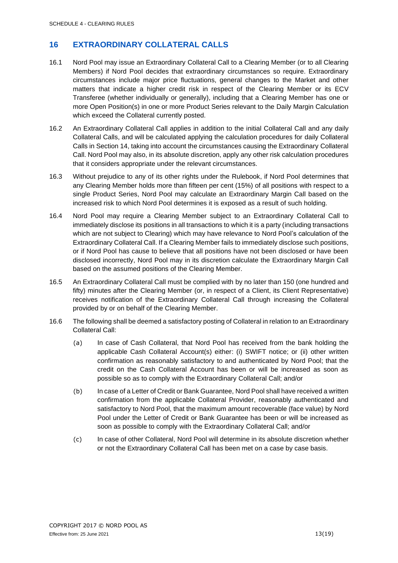#### <span id="page-12-0"></span>**16 EXTRAORDINARY COLLATERAL CALLS**

- 16.1 Nord Pool may issue an Extraordinary Collateral Call to a Clearing Member (or to all Clearing Members) if Nord Pool decides that extraordinary circumstances so require. Extraordinary circumstances include major price fluctuations, general changes to the Market and other matters that indicate a higher credit risk in respect of the Clearing Member or its ECV Transferee (whether individually or generally), including that a Clearing Member has one or more Open Position(s) in one or more Product Series relevant to the Daily Margin Calculation which exceed the Collateral currently posted.
- 16.2 An Extraordinary Collateral Call applies in addition to the initial Collateral Call and any daily Collateral Calls, and will be calculated applying the calculation procedures for daily Collateral Calls in Section 14, taking into account the circumstances causing the Extraordinary Collateral Call. Nord Pool may also, in its absolute discretion, apply any other risk calculation procedures that it considers appropriate under the relevant circumstances.
- 16.3 Without prejudice to any of its other rights under the Rulebook, if Nord Pool determines that any Clearing Member holds more than fifteen per cent (15%) of all positions with respect to a single Product Series, Nord Pool may calculate an Extraordinary Margin Call based on the increased risk to which Nord Pool determines it is exposed as a result of such holding.
- 16.4 Nord Pool may require a Clearing Member subject to an Extraordinary Collateral Call to immediately disclose its positions in all transactions to which it is a party (including transactions which are not subject to Clearing) which may have relevance to Nord Pool's calculation of the Extraordinary Collateral Call. If a Clearing Member fails to immediately disclose such positions, or if Nord Pool has cause to believe that all positions have not been disclosed or have been disclosed incorrectly, Nord Pool may in its discretion calculate the Extraordinary Margin Call based on the assumed positions of the Clearing Member.
- 16.5 An Extraordinary Collateral Call must be complied with by no later than 150 (one hundred and fifty) minutes after the Clearing Member (or, in respect of a Client, its Client Representative) receives notification of the Extraordinary Collateral Call through increasing the Collateral provided by or on behalf of the Clearing Member.
- 16.6 The following shall be deemed a satisfactory posting of Collateral in relation to an Extraordinary Collateral Call:
	- (a) In case of Cash Collateral, that Nord Pool has received from the bank holding the applicable Cash Collateral Account(s) either: (i) SWIFT notice; or (ii) other written confirmation as reasonably satisfactory to and authenticated by Nord Pool; that the credit on the Cash Collateral Account has been or will be increased as soon as possible so as to comply with the Extraordinary Collateral Call; and/or
	- (b) In case of a Letter of Credit or Bank Guarantee, Nord Pool shall have received a written confirmation from the applicable Collateral Provider, reasonably authenticated and satisfactory to Nord Pool, that the maximum amount recoverable (face value) by Nord Pool under the Letter of Credit or Bank Guarantee has been or will be increased as soon as possible to comply with the Extraordinary Collateral Call; and/or
	- (c) In case of other Collateral, Nord Pool will determine in its absolute discretion whether or not the Extraordinary Collateral Call has been met on a case by case basis.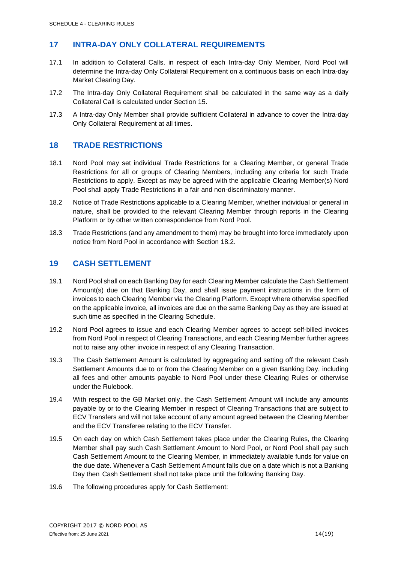#### <span id="page-13-0"></span>**17 INTRA-DAY ONLY COLLATERAL REQUIREMENTS**

- 17.1 In addition to Collateral Calls, in respect of each Intra-day Only Member, Nord Pool will determine the Intra-day Only Collateral Requirement on a continuous basis on each Intra-day Market Clearing Day.
- 17.2 The Intra-day Only Collateral Requirement shall be calculated in the same way as a daily Collateral Call is calculated under Section 15.
- 17.3 A Intra-day Only Member shall provide sufficient Collateral in advance to cover the Intra-day Only Collateral Requirement at all times.

#### <span id="page-13-1"></span>**18 TRADE RESTRICTIONS**

- 18.1 Nord Pool may set individual Trade Restrictions for a Clearing Member, or general Trade Restrictions for all or groups of Clearing Members, including any criteria for such Trade Restrictions to apply. Except as may be agreed with the applicable Clearing Member(s) Nord Pool shall apply Trade Restrictions in a fair and non-discriminatory manner.
- 18.2 Notice of Trade Restrictions applicable to a Clearing Member, whether individual or general in nature, shall be provided to the relevant Clearing Member through reports in the Clearing Platform or by other written correspondence from Nord Pool.
- 18.3 Trade Restrictions (and any amendment to them) may be brought into force immediately upon notice from Nord Pool in accordance with Section 18.2.

#### <span id="page-13-2"></span>**19 CASH SETTLEMENT**

- 19.1 Nord Pool shall on each Banking Day for each Clearing Member calculate the Cash Settlement Amount(s) due on that Banking Day, and shall issue payment instructions in the form of invoices to each Clearing Member via the Clearing Platform. Except where otherwise specified on the applicable invoice, all invoices are due on the same Banking Day as they are issued at such time as specified in the Clearing Schedule.
- 19.2 Nord Pool agrees to issue and each Clearing Member agrees to accept self-billed invoices from Nord Pool in respect of Clearing Transactions, and each Clearing Member further agrees not to raise any other invoice in respect of any Clearing Transaction.
- 19.3 The Cash Settlement Amount is calculated by aggregating and setting off the relevant Cash Settlement Amounts due to or from the Clearing Member on a given Banking Day, including all fees and other amounts payable to Nord Pool under these Clearing Rules or otherwise under the Rulebook.
- 19.4 With respect to the GB Market only, the Cash Settlement Amount will include any amounts payable by or to the Clearing Member in respect of Clearing Transactions that are subject to ECV Transfers and will not take account of any amount agreed between the Clearing Member and the ECV Transferee relating to the ECV Transfer.
- 19.5 On each day on which Cash Settlement takes place under the Clearing Rules, the Clearing Member shall pay such Cash Settlement Amount to Nord Pool, or Nord Pool shall pay such Cash Settlement Amount to the Clearing Member, in immediately available funds for value on the due date. Whenever a Cash Settlement Amount falls due on a date which is not a Banking Day then Cash Settlement shall not take place until the following Banking Day.
- <span id="page-13-3"></span>19.6 The following procedures apply for Cash Settlement: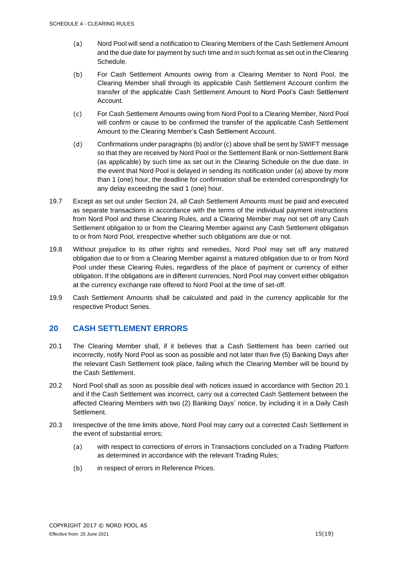- (a) Nord Pool will send a notification to Clearing Members of the Cash Settlement Amount and the due date for payment by such time and in such format as set out in the Clearing Schedule.
- <span id="page-14-1"></span>(b) For Cash Settlement Amounts owing from a Clearing Member to Nord Pool, the Clearing Member shall through its applicable Cash Settlement Account confirm the transfer of the applicable Cash Settlement Amount to Nord Pool's Cash Settlement Account.
- <span id="page-14-2"></span>(c) For Cash Settlement Amounts owing from Nord Pool to a Clearing Member, Nord Pool will confirm or cause to be confirmed the transfer of the applicable Cash Settlement Amount to the Clearing Member's Cash Settlement Account.
- (d) Confirmations under paragraphs [\(b\)](#page-14-1) and/or [\(c\)](#page-14-2) above shall be sent by SWIFT message so that they are received by Nord Pool or the Settlement Bank or non-Settlement Bank (as applicable) by such time as set out in the Clearing Schedule on the due date. In the event that Nord Pool is delayed in sending its notification under [\(a\)](#page-13-3) above by more than 1 (one) hour, the deadline for confirmation shall be extended correspondingly for any delay exceeding the said 1 (one) hour.
- 19.7 Except as set out under Section 24, all Cash Settlement Amounts must be paid and executed as separate transactions in accordance with the terms of the individual payment instructions from Nord Pool and these Clearing Rules, and a Clearing Member may not set off any Cash Settlement obligation to or from the Clearing Member against any Cash Settlement obligation to or from Nord Pool, irrespective whether such obligations are due or not.
- 19.8 Without prejudice to its other rights and remedies, Nord Pool may set off any matured obligation due to or from a Clearing Member against a matured obligation due to or from Nord Pool under these Clearing Rules, regardless of the place of payment or currency of either obligation. If the obligations are in different currencies, Nord Pool may convert either obligation at the currency exchange rate offered to Nord Pool at the time of set-off.
- 19.9 Cash Settlement Amounts shall be calculated and paid in the currency applicable for the respective Product Series.

#### <span id="page-14-0"></span>**20 CASH SETTLEMENT ERRORS**

- 20.1 The Clearing Member shall, if it believes that a Cash Settlement has been carried out incorrectly, notify Nord Pool as soon as possible and not later than five (5) Banking Days after the relevant Cash Settlement took place, failing which the Clearing Member will be bound by the Cash Settlement.
- 20.2 Nord Pool shall as soon as possible deal with notices issued in accordance with Section 20.1 and if the Cash Settlement was incorrect, carry out a corrected Cash Settlement between the affected Clearing Members with two (2) Banking Days' notice, by including it in a Daily Cash Settlement.
- 20.3 Irrespective of the time limits above, Nord Pool may carry out a corrected Cash Settlement in the event of substantial errors;
	- (a) with respect to corrections of errors in Transactions concluded on a Trading Platform as determined in accordance with the relevant Trading Rules;
	- (b) in respect of errors in Reference Prices.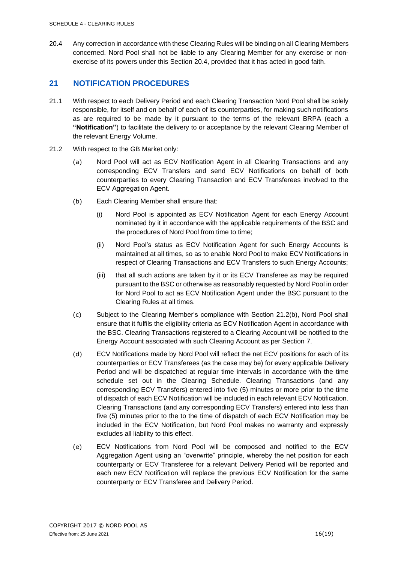20.4 Any correction in accordance with these Clearing Rules will be binding on all Clearing Members concerned. Nord Pool shall not be liable to any Clearing Member for any exercise or nonexercise of its powers under this Section 20.4, provided that it has acted in good faith.

#### <span id="page-15-0"></span>**21 NOTIFICATION PROCEDURES**

- 21.1 With respect to each Delivery Period and each Clearing Transaction Nord Pool shall be solely responsible, for itself and on behalf of each of its counterparties, for making such notifications as are required to be made by it pursuant to the terms of the relevant BRPA (each a **"Notification"**) to facilitate the delivery to or acceptance by the relevant Clearing Member of the relevant Energy Volume.
- 21.2 With respect to the GB Market only:
	- (a) Nord Pool will act as ECV Notification Agent in all Clearing Transactions and any corresponding ECV Transfers and send ECV Notifications on behalf of both counterparties to every Clearing Transaction and ECV Transferees involved to the ECV Aggregation Agent.
	- (b) Each Clearing Member shall ensure that:
		- (i) Nord Pool is appointed as ECV Notification Agent for each Energy Account nominated by it in accordance with the applicable requirements of the BSC and the procedures of Nord Pool from time to time;
		- (ii) Nord Pool's status as ECV Notification Agent for such Energy Accounts is maintained at all times, so as to enable Nord Pool to make ECV Notifications in respect of Clearing Transactions and ECV Transfers to such Energy Accounts;
		- (iii) that all such actions are taken by it or its ECV Transferee as may be required pursuant to the BSC or otherwise as reasonably requested by Nord Pool in order for Nord Pool to act as ECV Notification Agent under the BSC pursuant to the Clearing Rules at all times.
	- (c) Subject to the Clearing Member's compliance with Section 21.2(b), Nord Pool shall ensure that it fulfils the eligibility criteria as ECV Notification Agent in accordance with the BSC. Clearing Transactions registered to a Clearing Account will be notified to the Energy Account associated with such Clearing Account as per Section 7.
	- (d) ECV Notifications made by Nord Pool will reflect the net ECV positions for each of its counterparties or ECV Transferees (as the case may be) for every applicable Delivery Period and will be dispatched at regular time intervals in accordance with the time schedule set out in the Clearing Schedule. Clearing Transactions (and any corresponding ECV Transfers) entered into five (5) minutes or more prior to the time of dispatch of each ECV Notification will be included in each relevant ECV Notification. Clearing Transactions (and any corresponding ECV Transfers) entered into less than five (5) minutes prior to the to the time of dispatch of each ECV Notification may be included in the ECV Notification, but Nord Pool makes no warranty and expressly excludes all liability to this effect.
	- (e) ECV Notifications from Nord Pool will be composed and notified to the ECV Aggregation Agent using an "overwrite" principle, whereby the net position for each counterparty or ECV Transferee for a relevant Delivery Period will be reported and each new ECV Notification will replace the previous ECV Notification for the same counterparty or ECV Transferee and Delivery Period.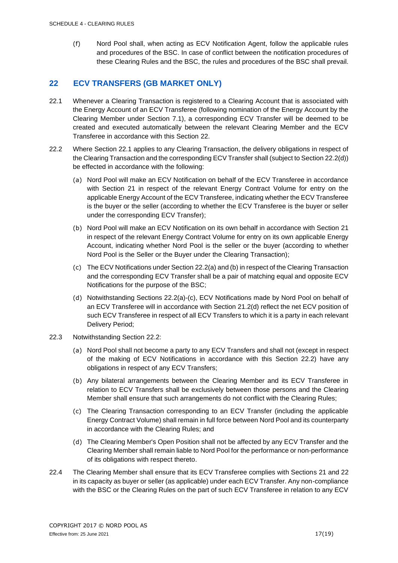(f) Nord Pool shall, when acting as ECV Notification Agent, follow the applicable rules and procedures of the BSC. In case of conflict between the notification procedures of these Clearing Rules and the BSC, the rules and procedures of the BSC shall prevail.

#### <span id="page-16-0"></span>**22 ECV TRANSFERS (GB MARKET ONLY)**

- 22.1 Whenever a Clearing Transaction is registered to a Clearing Account that is associated with the Energy Account of an ECV Transferee (following nomination of the Energy Account by the Clearing Member under Section 7.1), a corresponding ECV Transfer will be deemed to be created and executed automatically between the relevant Clearing Member and the ECV Transferee in accordance with this Section 22.
- 22.2 Where Section 22.1 applies to any Clearing Transaction, the delivery obligations in respect of the Clearing Transaction and the corresponding ECV Transfer shall (subject to Section 22.2(d)) be effected in accordance with the following:
	- (a) Nord Pool will make an ECV Notification on behalf of the ECV Transferee in accordance with Section 21 in respect of the relevant Energy Contract Volume for entry on the applicable Energy Account of the ECV Transferee, indicating whether the ECV Transferee is the buyer or the seller (according to whether the ECV Transferee is the buyer or seller under the corresponding ECV Transfer);
	- (b) Nord Pool will make an ECV Notification on its own behalf in accordance with Section 21 in respect of the relevant Energy Contract Volume for entry on its own applicable Energy Account, indicating whether Nord Pool is the seller or the buyer (according to whether Nord Pool is the Seller or the Buyer under the Clearing Transaction);
	- (c) The ECV Notifications under Section 22.2(a) and (b) in respect of the Clearing Transaction and the corresponding ECV Transfer shall be a pair of matching equal and opposite ECV Notifications for the purpose of the BSC;
	- (d) Notwithstanding Sections 22.2(a)-(c), ECV Notifications made by Nord Pool on behalf of an ECV Transferee will in accordance with Section 21.2(d) reflect the net ECV position of such ECV Transferee in respect of all ECV Transfers to which it is a party in each relevant Delivery Period;
- 22.3 Notwithstanding Section 22.2:
	- (a) Nord Pool shall not become a party to any ECV Transfers and shall not (except in respect of the making of ECV Notifications in accordance with this Section 22.2) have any obligations in respect of any ECV Transfers;
	- (b) Any bilateral arrangements between the Clearing Member and its ECV Transferee in relation to ECV Transfers shall be exclusively between those persons and the Clearing Member shall ensure that such arrangements do not conflict with the Clearing Rules;
	- (c) The Clearing Transaction corresponding to an ECV Transfer (including the applicable Energy Contract Volume) shall remain in full force between Nord Pool and its counterparty in accordance with the Clearing Rules; and
	- (d) The Clearing Member's Open Position shall not be affected by any ECV Transfer and the Clearing Member shall remain liable to Nord Pool for the performance or non-performance of its obligations with respect thereto.
- 22.4 The Clearing Member shall ensure that its ECV Transferee complies with Sections 21 and 22 in its capacity as buyer or seller (as applicable) under each ECV Transfer. Any non-compliance with the BSC or the Clearing Rules on the part of such ECV Transferee in relation to any ECV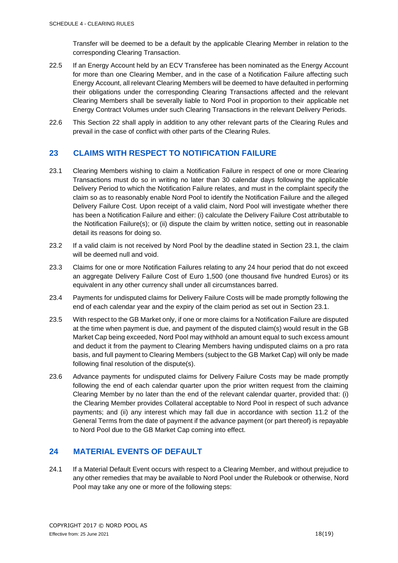Transfer will be deemed to be a default by the applicable Clearing Member in relation to the corresponding Clearing Transaction.

- 22.5 If an Energy Account held by an ECV Transferee has been nominated as the Energy Account for more than one Clearing Member, and in the case of a Notification Failure affecting such Energy Account, all relevant Clearing Members will be deemed to have defaulted in performing their obligations under the corresponding Clearing Transactions affected and the relevant Clearing Members shall be severally liable to Nord Pool in proportion to their applicable net Energy Contract Volumes under such Clearing Transactions in the relevant Delivery Periods.
- 22.6 This Section 22 shall apply in addition to any other relevant parts of the Clearing Rules and prevail in the case of conflict with other parts of the Clearing Rules.

#### <span id="page-17-0"></span>**23 CLAIMS WITH RESPECT TO NOTIFICATION FAILURE**

- 23.1 Clearing Members wishing to claim a Notification Failure in respect of one or more Clearing Transactions must do so in writing no later than 30 calendar days following the applicable Delivery Period to which the Notification Failure relates, and must in the complaint specify the claim so as to reasonably enable Nord Pool to identify the Notification Failure and the alleged Delivery Failure Cost. Upon receipt of a valid claim, Nord Pool will investigate whether there has been a Notification Failure and either: (i) calculate the Delivery Failure Cost attributable to the Notification Failure(s); or (ii) dispute the claim by written notice, setting out in reasonable detail its reasons for doing so.
- 23.2 If a valid claim is not received by Nord Pool by the deadline stated in Section 23.1, the claim will be deemed null and void.
- 23.3 Claims for one or more Notification Failures relating to any 24 hour period that do not exceed an aggregate Delivery Failure Cost of Euro 1,500 (one thousand five hundred Euros) or its equivalent in any other currency shall under all circumstances barred.
- 23.4 Payments for undisputed claims for Delivery Failure Costs will be made promptly following the end of each calendar year and the expiry of the claim period as set out in Section 23.1.
- 23.5 With respect to the GB Market only, if one or more claims for a Notification Failure are disputed at the time when payment is due, and payment of the disputed claim(s) would result in the GB Market Cap being exceeded, Nord Pool may withhold an amount equal to such excess amount and deduct it from the payment to Clearing Members having undisputed claims on a pro rata basis, and full payment to Clearing Members (subject to the GB Market Cap) will only be made following final resolution of the dispute(s).
- 23.6 Advance payments for undisputed claims for Delivery Failure Costs may be made promptly following the end of each calendar quarter upon the prior written request from the claiming Clearing Member by no later than the end of the relevant calendar quarter, provided that: (i) the Clearing Member provides Collateral acceptable to Nord Pool in respect of such advance payments; and (ii) any interest which may fall due in accordance with section 11.2 of the General Terms from the date of payment if the advance payment (or part thereof) is repayable to Nord Pool due to the GB Market Cap coming into effect.

#### <span id="page-17-1"></span>**24 MATERIAL EVENTS OF DEFAULT**

<span id="page-17-2"></span>24.1 If a Material Default Event occurs with respect to a Clearing Member, and without prejudice to any other remedies that may be available to Nord Pool under the Rulebook or otherwise, Nord Pool may take any one or more of the following steps: